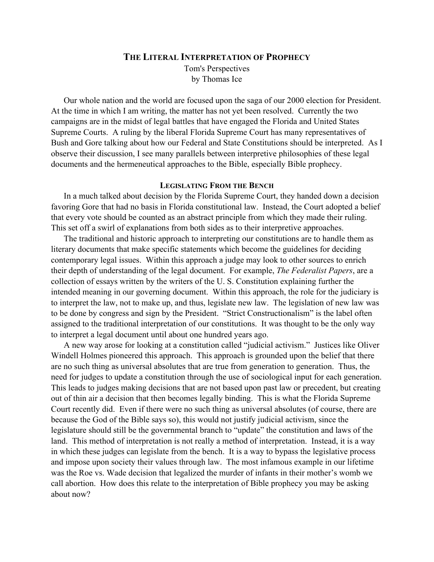#### **THE LITERAL INTERPRETATION OF PROPHECY**

Tom's Perspectives by Thomas Ice

Our whole nation and the world are focused upon the saga of our 2000 election for President. At the time in which I am writing, the matter has not yet been resolved. Currently the two campaigns are in the midst of legal battles that have engaged the Florida and United States Supreme Courts. A ruling by the liberal Florida Supreme Court has many representatives of Bush and Gore talking about how our Federal and State Constitutions should be interpreted. As I observe their discussion, I see many parallels between interpretive philosophies of these legal documents and the hermeneutical approaches to the Bible, especially Bible prophecy.

## **LEGISLATING FROM THE BENCH**

In a much talked about decision by the Florida Supreme Court, they handed down a decision favoring Gore that had no basis in Florida constitutional law. Instead, the Court adopted a belief that every vote should be counted as an abstract principle from which they made their ruling. This set off a swirl of explanations from both sides as to their interpretive approaches.

The traditional and historic approach to interpreting our constitutions are to handle them as literary documents that make specific statements which become the guidelines for deciding contemporary legal issues. Within this approach a judge may look to other sources to enrich their depth of understanding of the legal document. For example, *The Federalist Papers*, are a collection of essays written by the writers of the U. S. Constitution explaining further the intended meaning in our governing document. Within this approach, the role for the judiciary is to interpret the law, not to make up, and thus, legislate new law. The legislation of new law was to be done by congress and sign by the President. "Strict Constructionalism" is the label often assigned to the traditional interpretation of our constitutions. It was thought to be the only way to interpret a legal document until about one hundred years ago.

A new way arose for looking at a constitution called "judicial activism." Justices like Oliver Windell Holmes pioneered this approach. This approach is grounded upon the belief that there are no such thing as universal absolutes that are true from generation to generation. Thus, the need for judges to update a constitution through the use of sociological input for each generation. This leads to judges making decisions that are not based upon past law or precedent, but creating out of thin air a decision that then becomes legally binding. This is what the Florida Supreme Court recently did. Even if there were no such thing as universal absolutes (of course, there are because the God of the Bible says so), this would not justify judicial activism, since the legislature should still be the governmental branch to "update" the constitution and laws of the land. This method of interpretation is not really a method of interpretation. Instead, it is a way in which these judges can legislate from the bench. It is a way to bypass the legislative process and impose upon society their values through law. The most infamous example in our lifetime was the Roe vs. Wade decision that legalized the murder of infants in their mother's womb we call abortion. How does this relate to the interpretation of Bible prophecy you may be asking about now?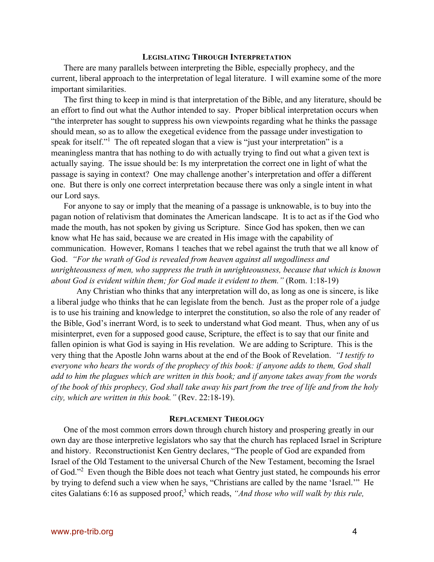# **LEGISLATING THROUGH INTERPRETATION**

There are many parallels between interpreting the Bible, especially prophecy, and the current, liberal approach to the interpretation of legal literature. I will examine some of the more important similarities.

The first thing to keep in mind is that interpretation of the Bible, and any literature, should be an effort to find out what the Author intended to say. Proper biblical interpretation occurs when "the interpreter has sought to suppress his own viewpoints regarding what he thinks the passage should mean, so as to allow the exegetical evidence from the passage under investigation to speak for itself."<sup>1</sup> The oft repeated slogan that a view is "just your interpretation" is a meaningless mantra that has nothing to do with actually trying to find out what a given text is actually saying. The issue should be: Is my interpretation the correct one in light of what the passage is saying in context? One may challenge another's interpretation and offer a different one. But there is only one correct interpretation because there was only a single intent in what our Lord says.

For anyone to say or imply that the meaning of a passage is unknowable, is to buy into the pagan notion of relativism that dominates the American landscape. It is to act as if the God who made the mouth, has not spoken by giving us Scripture. Since God has spoken, then we can know what He has said, because we are created in His image with the capability of communication. However, Romans 1 teaches that we rebel against the truth that we all know of God. *"For the wrath of God is revealed from heaven against all ungodliness and unrighteousness of men, who suppress the truth in unrighteousness, because that which is known about God is evident within them; for God made it evident to them."* (Rom. 1:18-19)

Any Christian who thinks that any interpretation will do, as long as one is sincere, is like a liberal judge who thinks that he can legislate from the bench. Just as the proper role of a judge is to use his training and knowledge to interpret the constitution, so also the role of any reader of the Bible, God's inerrant Word, is to seek to understand what God meant. Thus, when any of us misinterpret, even for a supposed good cause, Scripture, the effect is to say that our finite and fallen opinion is what God is saying in His revelation. We are adding to Scripture. This is the very thing that the Apostle John warns about at the end of the Book of Revelation. *"I testify to everyone who hears the words of the prophecy of this book: if anyone adds to them, God shall add to him the plagues which are written in this book; and if anyone takes away from the words of the book of this prophecy, God shall take away his part from the tree of life and from the holy city, which are written in this book."* (Rev. 22:18-19).

### **REPLACEMENT THEOLOGY**

One of the most common errors down through church history and prospering greatly in our own day are those interpretive legislators who say that the church has replaced Israel in Scripture and history. Reconstructionist Ken Gentry declares, "The people of God are expanded from Israel of the Old Testament to the universal Church of the New Testament, becoming the Israel of God."<sup>2</sup> Even though the Bible does not teach what Gentry just stated, he compounds his error by trying to defend such a view when he says, "Christians are called by the name 'Israel.'" He cites Galatians 6:16 as supposed proof,<sup>3</sup> which reads, "And those who will walk by this rule,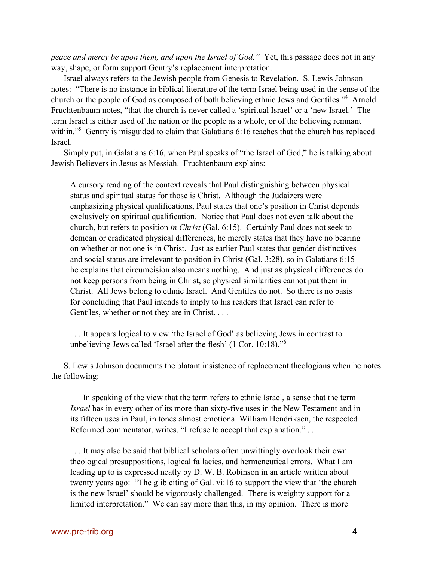*peace and mercy be upon them, and upon the Israel of God."* Yet, this passage does not in any way, shape, or form support Gentry's replacement interpretation.

Israel always refers to the Jewish people from Genesis to Revelation. S. Lewis Johnson notes: "There is no instance in biblical literature of the term Israel being used in the sense of the church or the people of God as composed of both believing ethnic Jews and Gentiles."<sup>4</sup> Arnold Fruchtenbaum notes, "that the church is never called a 'spiritual Israel' or a 'new Israel.' The term Israel is either used of the nation or the people as a whole, or of the believing remnant within."<sup>5</sup> Gentry is misguided to claim that Galatians 6:16 teaches that the church has replaced Israel.

Simply put, in Galatians 6:16, when Paul speaks of "the Israel of God," he is talking about Jewish Believers in Jesus as Messiah. Fruchtenbaum explains:

A cursory reading of the context reveals that Paul distinguishing between physical status and spiritual status for those is Christ. Although the Judaizers were emphasizing physical qualifications, Paul states that one's position in Christ depends exclusively on spiritual qualification. Notice that Paul does not even talk about the church, but refers to position *in Christ* (Gal. 6:15). Certainly Paul does not seek to demean or eradicated physical differences, he merely states that they have no bearing on whether or not one is in Christ. Just as earlier Paul states that gender distinctives and social status are irrelevant to position in Christ (Gal. 3:28), so in Galatians 6:15 he explains that circumcision also means nothing. And just as physical differences do not keep persons from being in Christ, so physical similarities cannot put them in Christ. All Jews belong to ethnic Israel. And Gentiles do not. So there is no basis for concluding that Paul intends to imply to his readers that Israel can refer to Gentiles, whether or not they are in Christ. . . .

. . . It appears logical to view 'the Israel of God' as believing Jews in contrast to unbelieving Jews called 'Israel after the flesh' (1 Cor. 10:18)."6

S. Lewis Johnson documents the blatant insistence of replacement theologians when he notes the following:

In speaking of the view that the term refers to ethnic Israel, a sense that the term *Israel* has in every other of its more than sixty-five uses in the New Testament and in its fifteen uses in Paul, in tones almost emotional William Hendriksen, the respected Reformed commentator, writes, "I refuse to accept that explanation." . . .

. . . It may also be said that biblical scholars often unwittingly overlook their own theological presuppositions, logical fallacies, and hermeneutical errors. What I am leading up to is expressed neatly by D. W. B. Robinson in an article written about twenty years ago: "The glib citing of Gal. vi:16 to support the view that 'the church is the new Israel' should be vigorously challenged. There is weighty support for a limited interpretation." We can say more than this, in my opinion. There is more